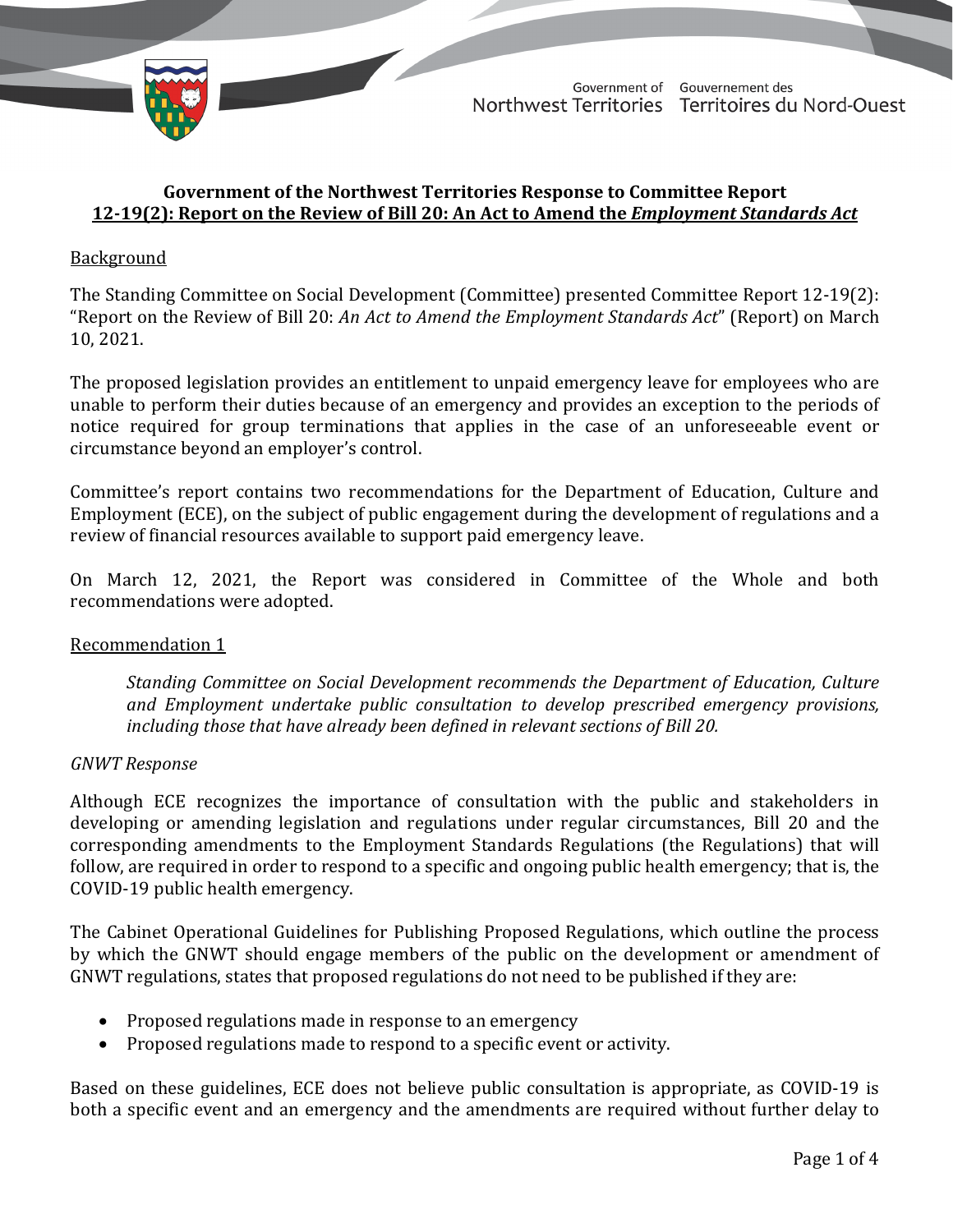TD 420-19(2) TABLED ON JUNE 2, 2021

Government of Gouvernement des Northwest Territories Territoires du Nord-Ouest

# **Government of the Northwest Territories Response to Committee Report 12-19(2): Report on the Review of Bill 20: An Act to Amend the** *Employment Standards Act*

# Background

The Standing Committee on Social Development (Committee) presented Committee Report 12-19(2): "Report on the Review of Bill 20: *An Act to Amend the Employment Standards Act*" (Report) on March 10, 2021.

The proposed legislation provides an entitlement to unpaid emergency leave for employees who are unable to perform their duties because of an emergency and provides an exception to the periods of notice required for group terminations that applies in the case of an unforeseeable event or circumstance beyond an employer's control.

Committee's report contains two recommendations for the Department of Education, Culture and Employment (ECE), on the subject of public engagement during the development of regulations and a review of financial resources available to support paid emergency leave.

On March 12, 2021, the Report was considered in Committee of the Whole and both recommendations were adopted.

### Recommendation 1

*Standing Committee on Social Development recommends the Department of Education, Culture and Employment undertake public consultation to develop prescribed emergency provisions, including those that have already been defined in relevant sections of Bill 20.* 

### *GNWT Response*

Although ECE recognizes the importance of consultation with the public and stakeholders in developing or amending legislation and regulations under regular circumstances, Bill 20 and the corresponding amendments to the Employment Standards Regulations (the Regulations) that will follow, are required in order to respond to a specific and ongoing public health emergency; that is, the COVID-19 public health emergency.

The Cabinet Operational Guidelines for Publishing Proposed Regulations, which outline the process by which the GNWT should engage members of the public on the development or amendment of GNWT regulations, states that proposed regulations do not need to be published if they are:

- Proposed regulations made in response to an emergency
- Proposed regulations made to respond to a specific event or activity.

Based on these guidelines, ECE does not believe public consultation is appropriate, as COVID-19 is both a specific event and an emergency and the amendments are required without further delay to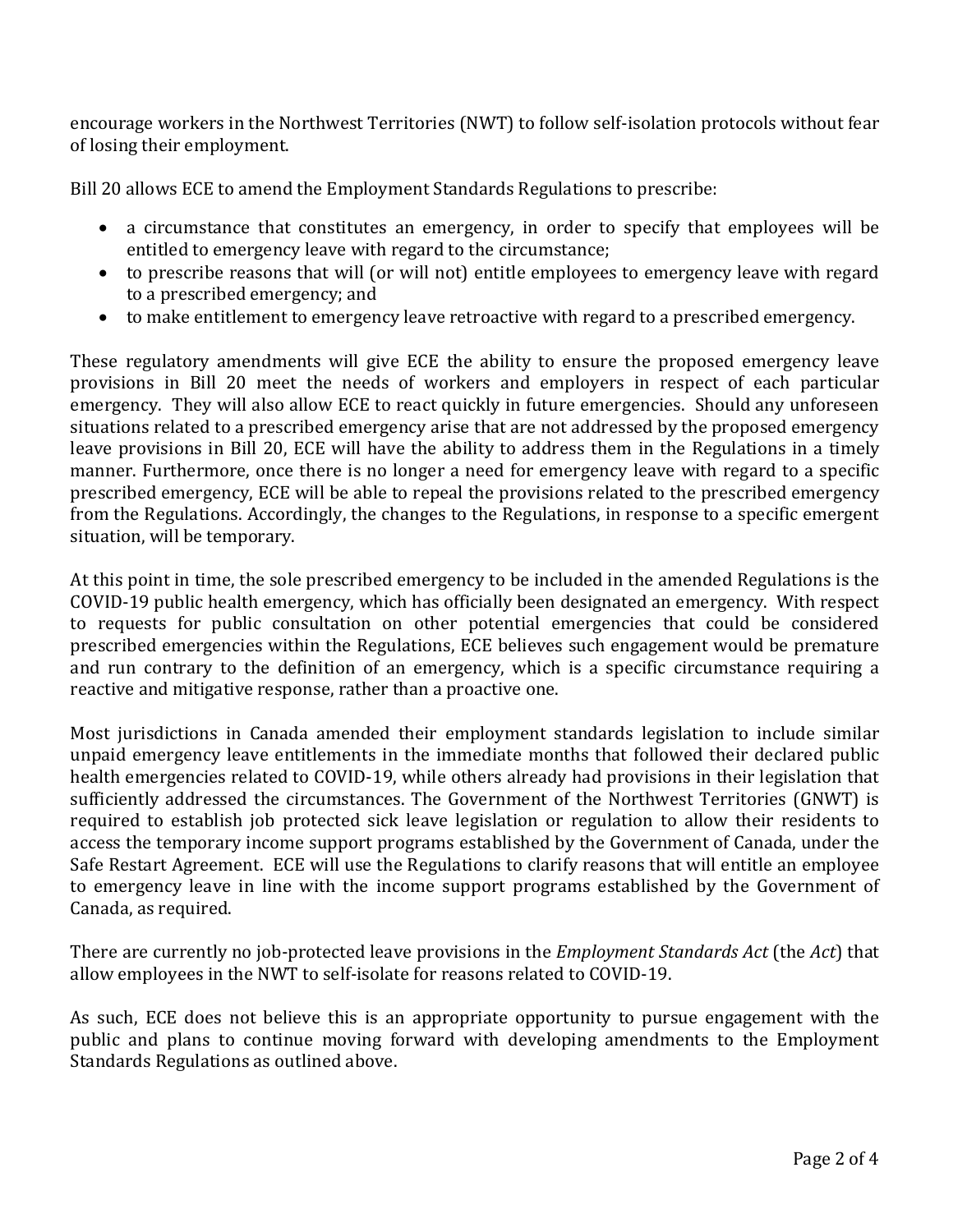encourage workers in the Northwest Territories (NWT) to follow self-isolation protocols without fear of losing their employment.

Bill 20 allows ECE to amend the Employment Standards Regulations to prescribe:

- a circumstance that constitutes an emergency, in order to specify that employees will be entitled to emergency leave with regard to the circumstance;
- to prescribe reasons that will (or will not) entitle employees to emergency leave with regard to a prescribed emergency; and
- to make entitlement to emergency leave retroactive with regard to a prescribed emergency.

These regulatory amendments will give ECE the ability to ensure the proposed emergency leave provisions in Bill 20 meet the needs of workers and employers in respect of each particular emergency. They will also allow ECE to react quickly in future emergencies. Should any unforeseen situations related to a prescribed emergency arise that are not addressed by the proposed emergency leave provisions in Bill 20, ECE will have the ability to address them in the Regulations in a timely manner. Furthermore, once there is no longer a need for emergency leave with regard to a specific prescribed emergency, ECE will be able to repeal the provisions related to the prescribed emergency from the Regulations. Accordingly, the changes to the Regulations, in response to a specific emergent situation, will be temporary.

At this point in time, the sole prescribed emergency to be included in the amended Regulations is the COVID-19 public health emergency, which has officially been designated an emergency. With respect to requests for public consultation on other potential emergencies that could be considered prescribed emergencies within the Regulations, ECE believes such engagement would be premature and run contrary to the definition of an emergency, which is a specific circumstance requiring a reactive and mitigative response, rather than a proactive one.

Most jurisdictions in Canada amended their employment standards legislation to include similar unpaid emergency leave entitlements in the immediate months that followed their declared public health emergencies related to COVID-19, while others already had provisions in their legislation that sufficiently addressed the circumstances. The Government of the Northwest Territories (GNWT) is required to establish job protected sick leave legislation or regulation to allow their residents to access the temporary income support programs established by the Government of Canada, under the Safe Restart Agreement. ECE will use the Regulations to clarify reasons that will entitle an employee to emergency leave in line with the income support programs established by the Government of Canada, as required.

There are currently no job-protected leave provisions in the *Employment Standards Act* (the *Act*) that allow employees in the NWT to self-isolate for reasons related to COVID-19.

As such, ECE does not believe this is an appropriate opportunity to pursue engagement with the public and plans to continue moving forward with developing amendments to the Employment Standards Regulations as outlined above.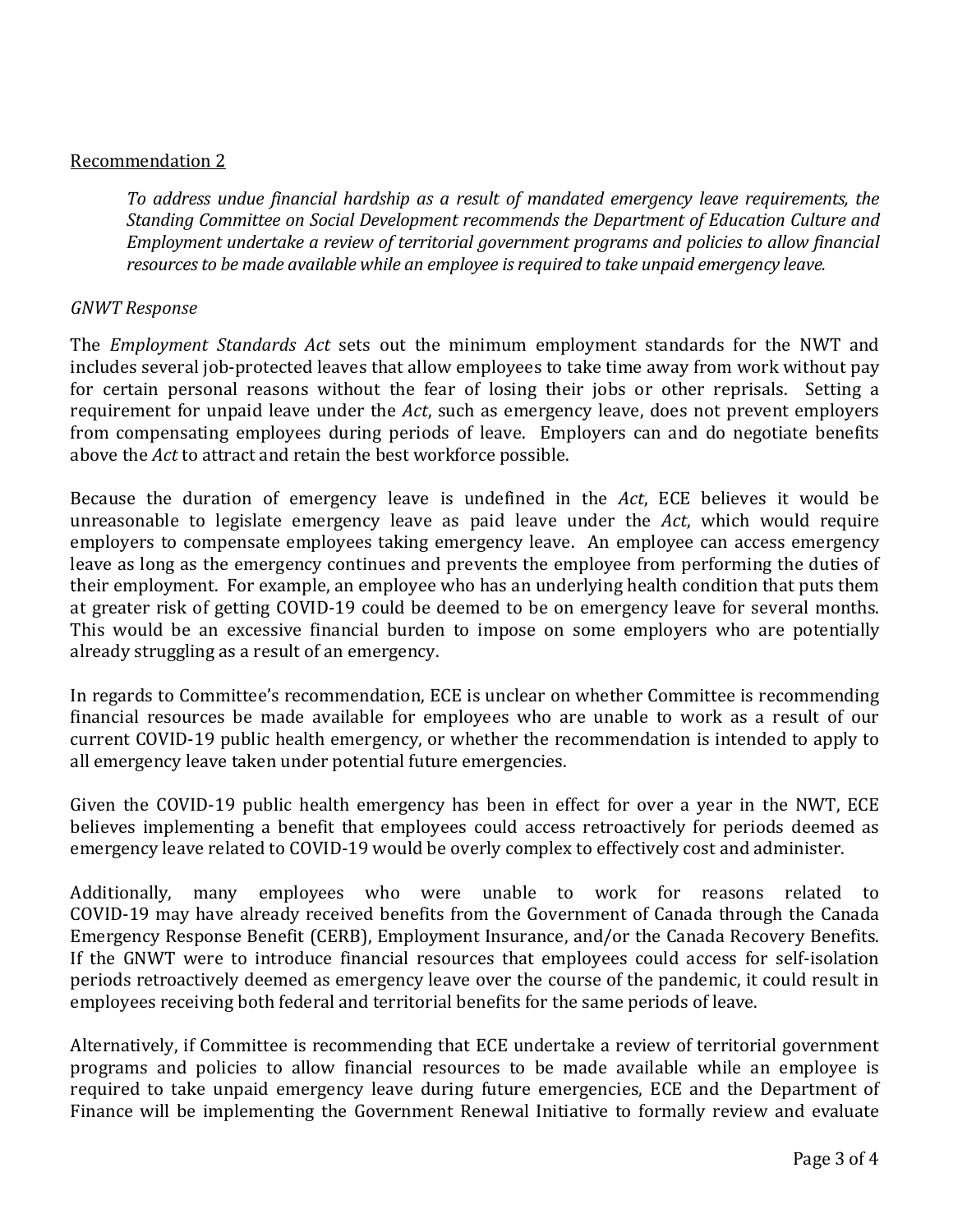#### Recommendation 2

*To address undue financial hardship as a result of mandated emergency leave requirements, the Standing Committee on Social Development recommends the Department of Education Culture and Employment undertake a review of territorial government programs and policies to allow financial resources to be made available while an employee is required to take unpaid emergency leave.* 

#### *GNWT Response*

The *Employment Standards Act* sets out the minimum employment standards for the NWT and includes several job-protected leaves that allow employees to take time away from work without pay for certain personal reasons without the fear of losing their jobs or other reprisals. Setting a requirement for unpaid leave under the *Act*, such as emergency leave, does not prevent employers from compensating employees during periods of leave. Employers can and do negotiate benefits above the *Act* to attract and retain the best workforce possible.

Because the duration of emergency leave is undefined in the *Act*, ECE believes it would be unreasonable to legislate emergency leave as paid leave under the *Act*, which would require employers to compensate employees taking emergency leave. An employee can access emergency leave as long as the emergency continues and prevents the employee from performing the duties of their employment. For example, an employee who has an underlying health condition that puts them at greater risk of getting COVID-19 could be deemed to be on emergency leave for several months. This would be an excessive financial burden to impose on some employers who are potentially already struggling as a result of an emergency.

In regards to Committee's recommendation, ECE is unclear on whether Committee is recommending financial resources be made available for employees who are unable to work as a result of our current COVID-19 public health emergency, or whether the recommendation is intended to apply to all emergency leave taken under potential future emergencies.

Given the COVID-19 public health emergency has been in effect for over a year in the NWT, ECE believes implementing a benefit that employees could access retroactively for periods deemed as emergency leave related to COVID-19 would be overly complex to effectively cost and administer.

Additionally, many employees who were unable to work for reasons related to COVID-19 may have already received benefits from the Government of Canada through the Canada Emergency Response Benefit (CERB), Employment Insurance, and/or the Canada Recovery Benefits. If the GNWT were to introduce financial resources that employees could access for self-isolation periods retroactively deemed as emergency leave over the course of the pandemic, it could result in employees receiving both federal and territorial benefits for the same periods of leave.

Alternatively, if Committee is recommending that ECE undertake a review of territorial government programs and policies to allow financial resources to be made available while an employee is required to take unpaid emergency leave during future emergencies, ECE and the Department of Finance will be implementing the Government Renewal Initiative to formally review and evaluate